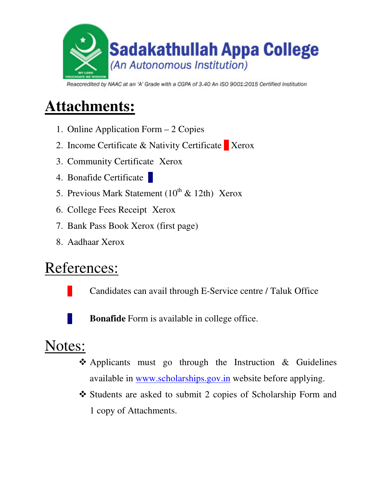

Reaccredited by NAAC at an 'A' Grade with a CGPA of 3.40 An ISO 9001:2015 Certified Institution

## **Attachments:**

- 1. Online Application Form 2 Copies
- 2. Income Certificate & Nativity Certificate  $\blacksquare$  Xerox
- 3. Community Certificate Xerox
- 4. Bonafide Certificate
- 5. Previous Mark Statement  $(10^{th} \& 12th)$  Xerox
- 6. College Fees Receipt Xerox
- 7. Bank Pass Book Xerox (first page)
- 8. Aadhaar Xerox

# References:

Candidates can avail through E-Service centre / Taluk Office

**Bonafide** Form is available in college office.

# Notes:

- Applicants must go through the Instruction & Guidelines available in www.scholarships.gov.in website before applying.
- Students are asked to submit 2 copies of Scholarship Form and 1 copy of Attachments.